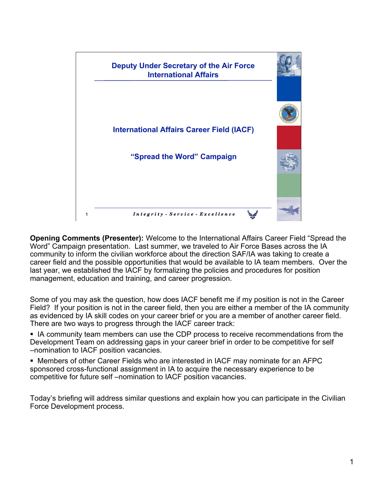

**Opening Comments (Presenter):** Welcome to the International Affairs Career Field "Spread the Word" Campaign presentation. Last summer, we traveled to Air Force Bases across the IA community to inform the civilian workforce about the direction SAF/IA was taking to create a career field and the possible opportunities that would be available to IA team members. Over the last year, we established the IACF by formalizing the policies and procedures for position management, education and training, and career progression.

Some of you may ask the question, how does IACF benefit me if my position is not in the Career Field? If your position is not in the career field, then you are either a member of the IA community as evidenced by IA skill codes on your career brief or you are a member of another career field. There are two ways to progress through the IACF career track:

I IA community team members can use the CDP process to receive recommendations from the Development Team on addressing gaps in your career brief in order to be competitive for self –nomination to IACF position vacancies.

 Members of other Career Fields who are interested in IACF may nominate for an AFPC sponsored cross-functional assignment in IA to acquire the necessary experience to be competitive for future self –nomination to IACF position vacancies.

Today's briefing will address similar questions and explain how you can participate in the Civilian Force Development process.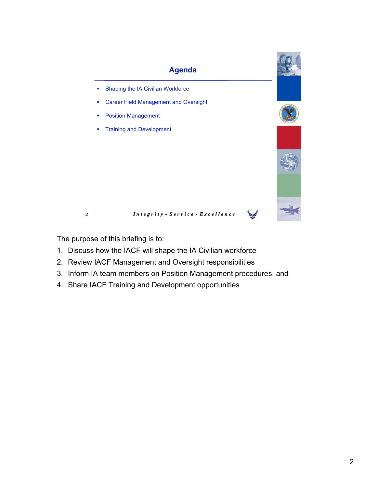

The purpose of this briefing is to:

- 1. Discuss how the IACF will shape the IA Civilian workforce
- 2. Review IACF Management and Oversight responsibilities
- 3. Inform IA team members on Position Management procedures, and
- 4. Share IACF Training and Development opportunities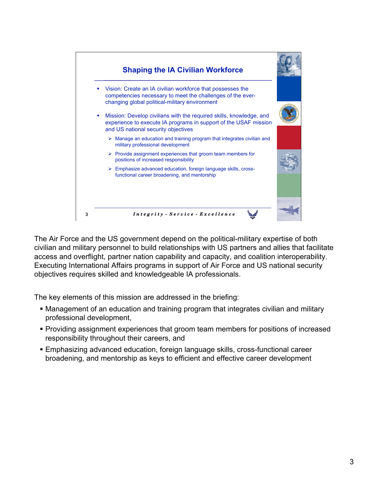

The Air Force and the US government depend on the political-military expertise of both civilian and military personnel to build relationships with US partners and allies that facilitate access and overflight, partner nation capability and capacity, and coalition interoperability. Executing International Affairs programs in support of Air Force and US national security objectives requires skilled and knowledgeable IA professionals.

The key elements of this mission are addressed in the briefing:

- Management of an education and training program that integrates civilian and military professional development,
- **Providing assignment experiences that groom team members for positions of increased** responsibility throughout their careers, and
- Emphasizing advanced education, foreign language skills, cross-functional career broadening, and mentorship as keys to efficient and effective career development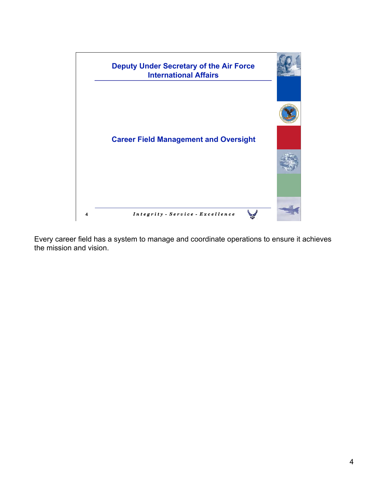

Every career field has a system to manage and coordinate operations to ensure it achieves the mission and vision.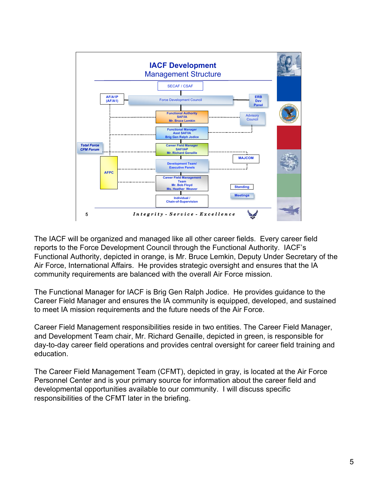

The IACF will be organized and managed like all other career fields. Every career field reports to the Force Development Council through the Functional Authority. IACF's Functional Authority, depicted in orange, is Mr. Bruce Lemkin, Deputy Under Secretary of the Air Force, International Affairs. He provides strategic oversight and ensures that the IA community requirements are balanced with the overall Air Force mission.

The Functional Manager for IACF is Brig Gen Ralph Jodice. He provides guidance to the Career Field Manager and ensures the IA community is equipped, developed, and sustained to meet IA mission requirements and the future needs of the Air Force.

Career Field Management responsibilities reside in two entities. The Career Field Manager, and Development Team chair, Mr. Richard Genaille, depicted in green, is responsible for day-to-day career field operations and provides central oversight for career field training and education.

The Career Field Management Team (CFMT), depicted in gray, is located at the Air Force Personnel Center and is your primary source for information about the career field and developmental opportunities available to our community. I will discuss specific responsibilities of the CFMT later in the briefing.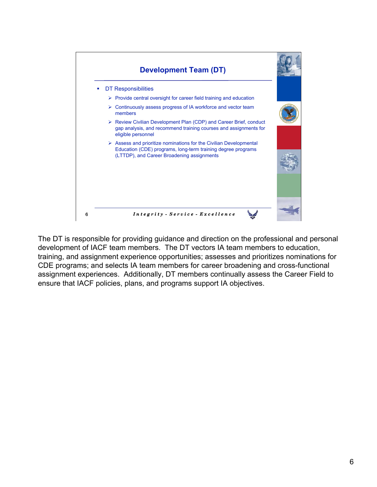

The DT is responsible for providing guidance and direction on the professional and personal development of IACF team members. The DT vectors IA team members to education, training, and assignment experience opportunities; assesses and prioritizes nominations for CDE programs; and selects IA team members for career broadening and cross-functional assignment experiences. Additionally, DT members continually assess the Career Field to ensure that IACF policies, plans, and programs support IA objectives.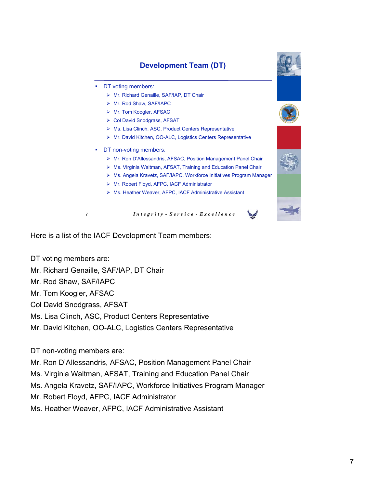

Here is a list of the IACF Development Team members:

- DT voting members are:
- Mr. Richard Genaille, SAF/IAP, DT Chair
- Mr. Rod Shaw, SAF/IAPC

Mr. Tom Koogler, AFSAC

Col David Snodgrass, AFSAT

Ms. Lisa Clinch, ASC, Product Centers Representative

Mr. David Kitchen, OO-ALC, Logistics Centers Representative

DT non-voting members are:

Mr. Ron D'Allessandris, AFSAC, Position Management Panel Chair

Ms. Virginia Waltman, AFSAT, Training and Education Panel Chair

Ms. Angela Kravetz, SAF/IAPC, Workforce Initiatives Program Manager

Mr. Robert Floyd, AFPC, IACF Administrator

Ms. Heather Weaver, AFPC, IACF Administrative Assistant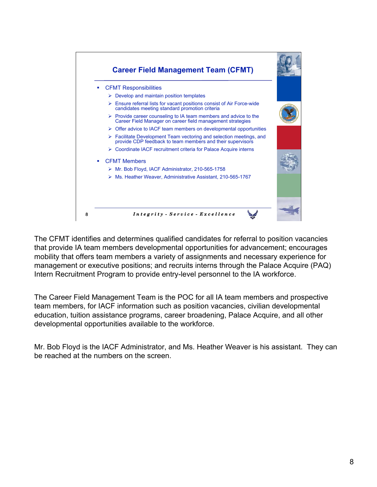

The CFMT identifies and determines qualified candidates for referral to position vacancies that provide IA team members developmental opportunities for advancement; encourages mobility that offers team members a variety of assignments and necessary experience for management or executive positions; and recruits interns through the Palace Acquire (PAQ) Intern Recruitment Program to provide entry-level personnel to the IA workforce.

The Career Field Management Team is the POC for all IA team members and prospective team members, for IACF information such as position vacancies, civilian developmental education, tuition assistance programs, career broadening, Palace Acquire, and all other developmental opportunities available to the workforce.

Mr. Bob Floyd is the IACF Administrator, and Ms. Heather Weaver is his assistant. They can be reached at the numbers on the screen.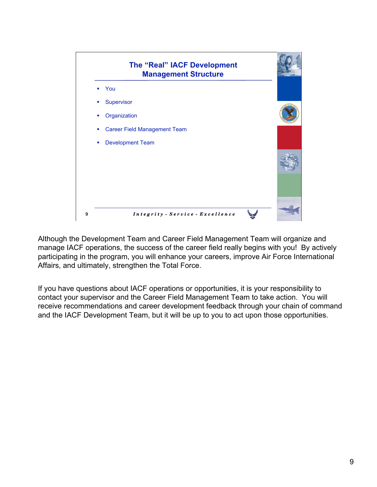

Although the Development Team and Career Field Management Team will organize and manage IACF operations, the success of the career field really begins with you! By actively participating in the program, you will enhance your careers, improve Air Force International Affairs, and ultimately, strengthen the Total Force.

If you have questions about IACF operations or opportunities, it is your responsibility to contact your supervisor and the Career Field Management Team to take action. You will receive recommendations and career development feedback through your chain of command and the IACF Development Team, but it will be up to you to act upon those opportunities.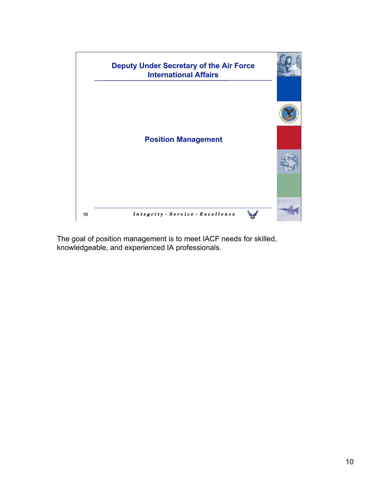

The goal of position management is to meet IACF needs for skilled, knowledgeable, and experienced IA professionals.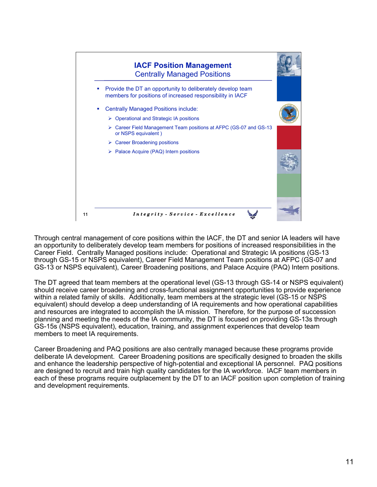

Through central management of core positions within the IACF, the DT and senior IA leaders will have an opportunity to deliberately develop team members for positions of increased responsibilities in the Career Field. Centrally Managed positions include: Operational and Strategic IA positions (GS-13 through GS-15 or NSPS equivalent), Career Field Management Team positions at AFPC (GS-07 and GS-13 or NSPS equivalent), Career Broadening positions, and Palace Acquire (PAQ) Intern positions.

The DT agreed that team members at the operational level (GS-13 through GS-14 or NSPS equivalent) should receive career broadening and cross-functional assignment opportunities to provide experience within a related family of skills. Additionally, team members at the strategic level (GS-15 or NSPS equivalent) should develop a deep understanding of IA requirements and how operational capabilities and resources are integrated to accomplish the IA mission. Therefore, for the purpose of succession planning and meeting the needs of the IA community, the DT is focused on providing GS-13s through GS-15s (NSPS equivalent), education, training, and assignment experiences that develop team members to meet IA requirements.

Career Broadening and PAQ positions are also centrally managed because these programs provide deliberate IA development. Career Broadening positions are specifically designed to broaden the skills and enhance the leadership perspective of high-potential and exceptional IA personnel. PAQ positions are designed to recruit and train high quality candidates for the IA workforce. IACF team members in each of these programs require outplacement by the DT to an IACF position upon completion of training and development requirements.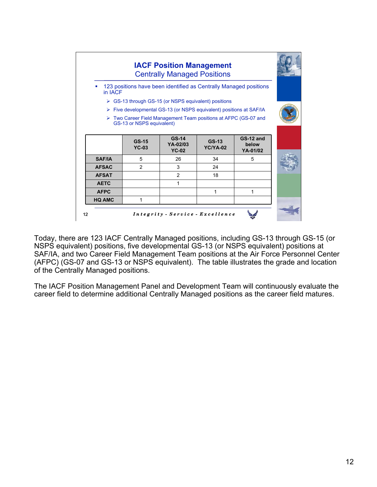

Today, there are 123 IACF Centrally Managed positions, including GS-13 through GS-15 (or NSPS equivalent) positions, five developmental GS-13 (or NSPS equivalent) positions at SAF/IA, and two Career Field Management Team positions at the Air Force Personnel Center (AFPC) (GS-07 and GS-13 or NSPS equivalent). The table illustrates the grade and location of the Centrally Managed positions.

The IACF Position Management Panel and Development Team will continuously evaluate the career field to determine additional Centrally Managed positions as the career field matures.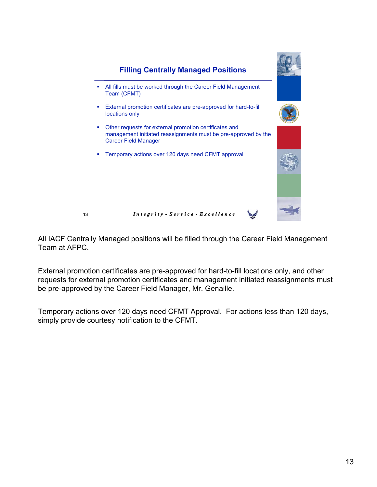

All IACF Centrally Managed positions will be filled through the Career Field Management Team at AFPC.

External promotion certificates are pre-approved for hard-to-fill locations only, and other requests for external promotion certificates and management initiated reassignments must be pre-approved by the Career Field Manager, Mr. Genaille.

Temporary actions over 120 days need CFMT Approval. For actions less than 120 days, simply provide courtesy notification to the CFMT.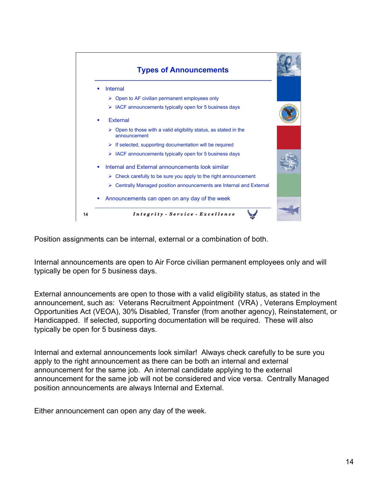

Position assignments can be internal, external or a combination of both.

Internal announcements are open to Air Force civilian permanent employees only and will typically be open for 5 business days.

External announcements are open to those with a valid eligibility status, as stated in the announcement, such as: Veterans Recruitment Appointment (VRA) , Veterans Employment Opportunities Act (VEOA), 30% Disabled, Transfer (from another agency), Reinstatement, or Handicapped. If selected, supporting documentation will be required. These will also typically be open for 5 business days.

Internal and external announcements look similar! Always check carefully to be sure you apply to the right announcement as there can be both an internal and external announcement for the same job. An internal candidate applying to the external announcement for the same job will not be considered and vice versa. Centrally Managed position announcements are always Internal and External.

Either announcement can open any day of the week.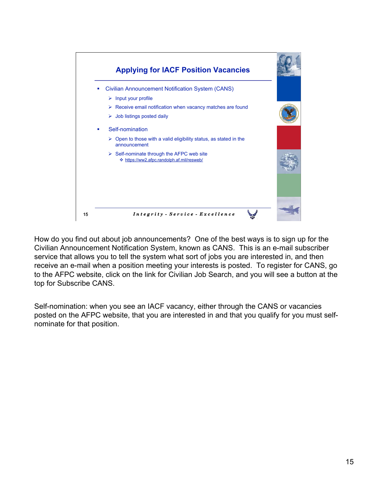

How do you find out about job announcements? One of the best ways is to sign up for the Civilian Announcement Notification System, known as CANS. This is an e-mail subscriber service that allows you to tell the system what sort of jobs you are interested in, and then receive an e-mail when a position meeting your interests is posted. To register for CANS, go to the AFPC website, click on the link for Civilian Job Search, and you will see a button at the top for Subscribe CANS.

Self-nomination: when you see an IACF vacancy, either through the CANS or vacancies posted on the AFPC website, that you are interested in and that you qualify for you must selfnominate for that position.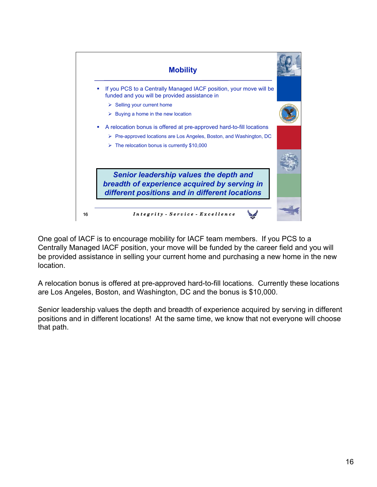

One goal of IACF is to encourage mobility for IACF team members. If you PCS to a Centrally Managed IACF position, your move will be funded by the career field and you will be provided assistance in selling your current home and purchasing a new home in the new location.

A relocation bonus is offered at pre-approved hard-to-fill locations. Currently these locations are Los Angeles, Boston, and Washington, DC and the bonus is \$10,000.

Senior leadership values the depth and breadth of experience acquired by serving in different positions and in different locations! At the same time, we know that not everyone will choose that path.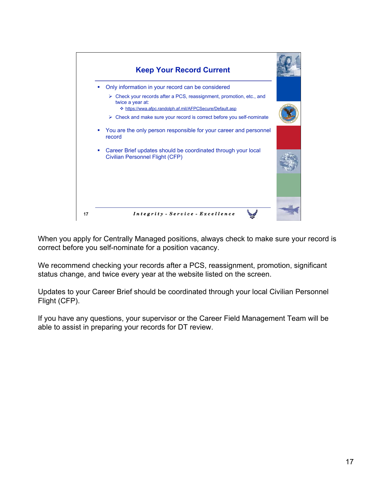

When you apply for Centrally Managed positions, always check to make sure your record is correct before you self-nominate for a position vacancy.

We recommend checking your records after a PCS, reassignment, promotion, significant status change, and twice every year at the website listed on the screen.

Updates to your Career Brief should be coordinated through your local Civilian Personnel Flight (CFP).

If you have any questions, your supervisor or the Career Field Management Team will be able to assist in preparing your records for DT review.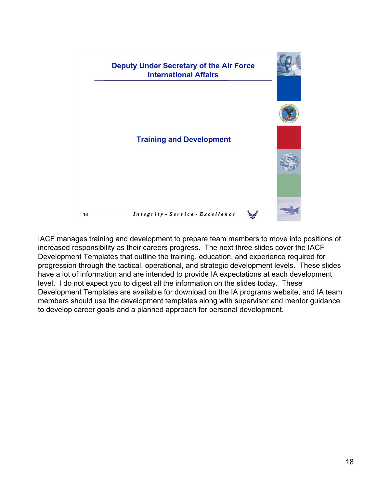

IACF manages training and development to prepare team members to move into positions of increased responsibility as their careers progress. The next three slides cover the IACF Development Templates that outline the training, education, and experience required for progression through the tactical, operational, and strategic development levels. These slides have a lot of information and are intended to provide IA expectations at each development level. I do not expect you to digest all the information on the slides today. These Development Templates are available for download on the IA programs website, and IA team members should use the development templates along with supervisor and mentor guidance to develop career goals and a planned approach for personal development.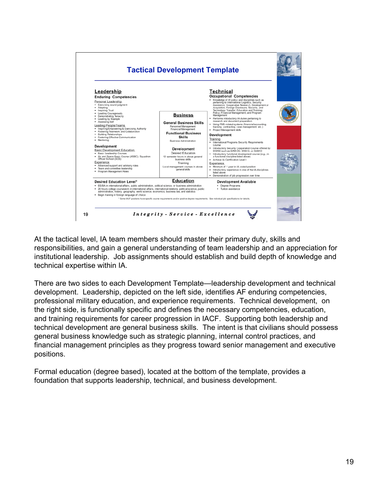

At the tactical level, IA team members should master their primary duty, skills and responsibilities, and gain a general understanding of team leadership and an appreciation for institutional leadership. Job assignments should establish and build depth of knowledge and technical expertise within IA.

There are two sides to each Development Template—leadership development and technical development. Leadership, depicted on the left side, identifies AF enduring competencies, professional military education, and experience requirements. Technical development, on the right side, is functionally specific and defines the necessary competencies, education, and training requirements for career progression in IACF. Supporting both leadership and technical development are general business skills. The intent is that civilians should possess general business knowledge such as strategic planning, internal control practices, and financial management principles as they progress toward senior management and executive positions.

Formal education (degree based), located at the bottom of the template, provides a foundation that supports leadership, technical, and business development.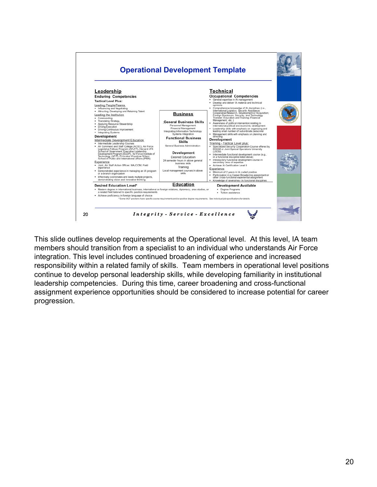

This slide outlines develop requirements at the Operational level. At this level, IA team members should transition from a specialist to an individual who understands Air Force integration. This level includes continued broadening of experience and increased responsibility within a related family of skills. Team members in operational level positions continue to develop personal leadership skills, while developing familiarity in institutional leadership competencies. During this time, career broadening and cross-functional assignment experience opportunities should be considered to increase potential for career progression.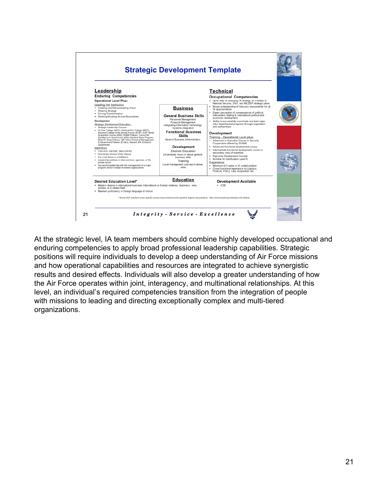

At the strategic level, IA team members should combine highly developed occupational and enduring competencies to apply broad professional leadership capabilities. Strategic positions will require individuals to develop a deep understanding of Air Force missions and how operational capabilities and resources are integrated to achieve synergistic results and desired effects. Individuals will also develop a greater understanding of how the Air Force operates within joint, interagency, and multinational relationships. At this level, an individual's required competencies transition from the integration of people with missions to leading and directing exceptionally complex and multi-tiered organizations.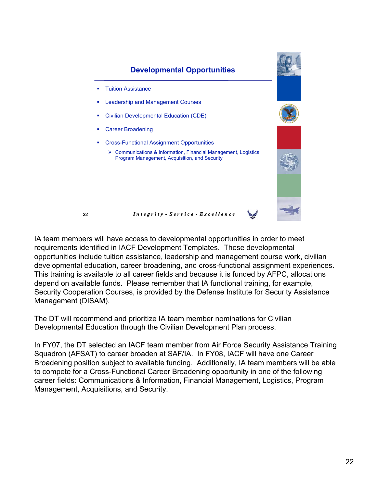

IA team members will have access to developmental opportunities in order to meet requirements identified in IACF Development Templates. These developmental opportunities include tuition assistance, leadership and management course work, civilian developmental education, career broadening, and cross-functional assignment experiences. This training is available to all career fields and because it is funded by AFPC, allocations depend on available funds. Please remember that IA functional training, for example, Security Cooperation Courses, is provided by the Defense Institute for Security Assistance Management (DISAM).

The DT will recommend and prioritize IA team member nominations for Civilian Developmental Education through the Civilian Development Plan process.

In FY07, the DT selected an IACF team member from Air Force Security Assistance Training Squadron (AFSAT) to career broaden at SAF/IA. In FY08, IACF will have one Career Broadening position subject to available funding. Additionally, IA team members will be able to compete for a Cross-Functional Career Broadening opportunity in one of the following career fields: Communications & Information, Financial Management, Logistics, Program Management, Acquisitions, and Security.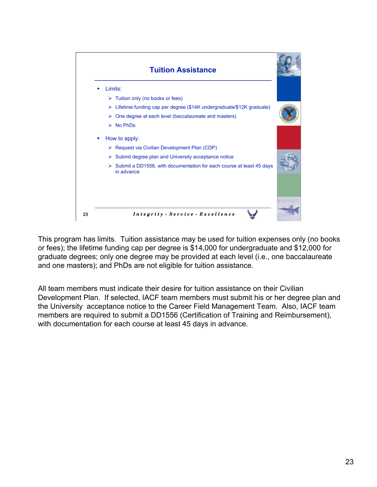

This program has limits. Tuition assistance may be used for tuition expenses only (no books or fees); the lifetime funding cap per degree is \$14,000 for undergraduate and \$12,000 for graduate degrees; only one degree may be provided at each level (i.e., one baccalaureate and one masters); and PhDs are not eligible for tuition assistance.

All team members must indicate their desire for tuition assistance on their Civilian Development Plan. If selected, IACF team members must submit his or her degree plan and the University acceptance notice to the Career Field Management Team. Also, IACF team members are required to submit a DD1556 (Certification of Training and Reimbursement), with documentation for each course at least 45 days in advance.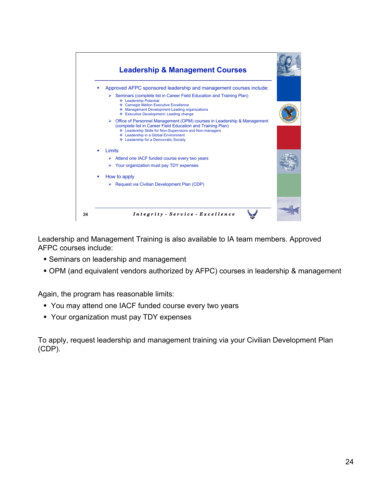

Leadership and Management Training is also available to IA team members. Approved AFPC courses include:

- **Seminars on leadership and management**
- OPM (and equivalent vendors authorized by AFPC) courses in leadership & management

Again, the program has reasonable limits:

- You may attend one IACF funded course every two years
- Your organization must pay TDY expenses

To apply, request leadership and management training via your Civilian Development Plan (CDP).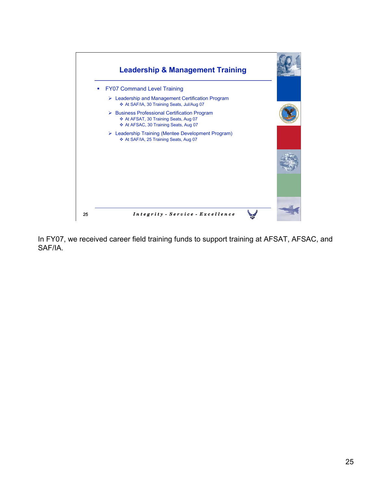

In FY07, we received career field training funds to support training at AFSAT, AFSAC, and SAF/IA.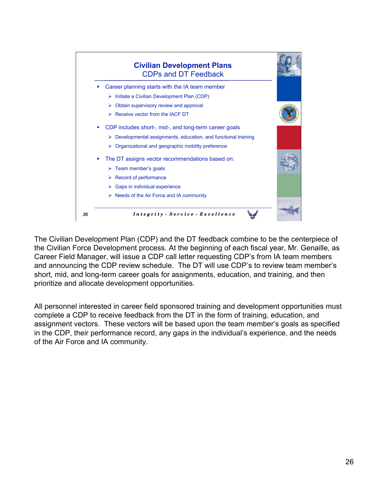

The Civilian Development Plan (CDP) and the DT feedback combine to be the centerpiece of the Civilian Force Development process. At the beginning of each fiscal year, Mr. Genaille, as Career Field Manager, will issue a CDP call letter requesting CDP's from IA team members and announcing the CDP review schedule. The DT will use CDP's to review team member's short, mid, and long-term career goals for assignments, education, and training, and then prioritize and allocate development opportunities.

All personnel interested in career field sponsored training and development opportunities must complete a CDP to receive feedback from the DT in the form of training, education, and assignment vectors. These vectors will be based upon the team member's goals as specified in the CDP, their performance record, any gaps in the individual's experience, and the needs of the Air Force and IA community.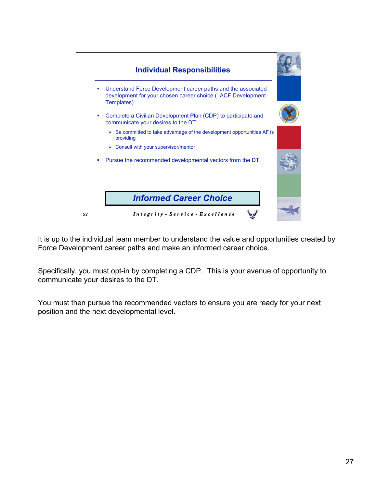

It is up to the individual team member to understand the value and opportunities created by Force Development career paths and make an informed career choice.

Specifically, you must opt-in by completing a CDP. This is your avenue of opportunity to communicate your desires to the DT.

You must then pursue the recommended vectors to ensure you are ready for your next position and the next developmental level.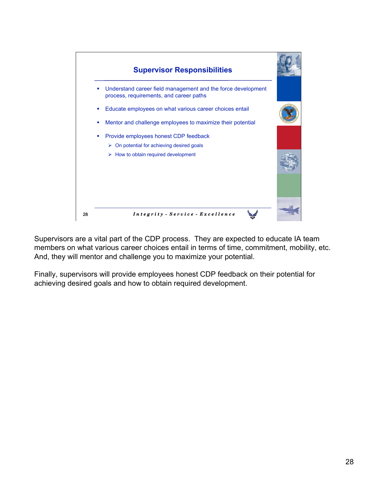

Supervisors are a vital part of the CDP process. They are expected to educate IA team members on what various career choices entail in terms of time, commitment, mobility, etc. And, they will mentor and challenge you to maximize your potential.

Finally, supervisors will provide employees honest CDP feedback on their potential for achieving desired goals and how to obtain required development.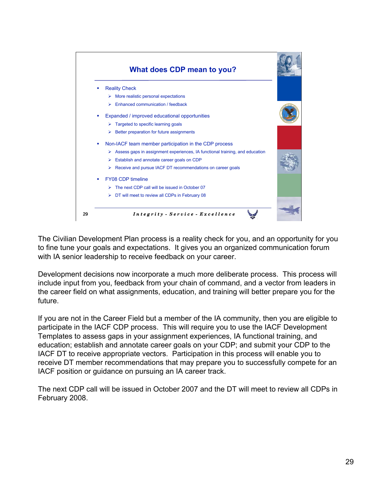

The Civilian Development Plan process is a reality check for you, and an opportunity for you to fine tune your goals and expectations. It gives you an organized communication forum with IA senior leadership to receive feedback on your career.

Development decisions now incorporate a much more deliberate process. This process will include input from you, feedback from your chain of command, and a vector from leaders in the career field on what assignments, education, and training will better prepare you for the future.

If you are not in the Career Field but a member of the IA community, then you are eligible to participate in the IACF CDP process. This will require you to use the IACF Development Templates to assess gaps in your assignment experiences, IA functional training, and education; establish and annotate career goals on your CDP; and submit your CDP to the IACF DT to receive appropriate vectors. Participation in this process will enable you to receive DT member recommendations that may prepare you to successfully compete for an IACF position or guidance on pursuing an IA career track.

The next CDP call will be issued in October 2007 and the DT will meet to review all CDPs in February 2008.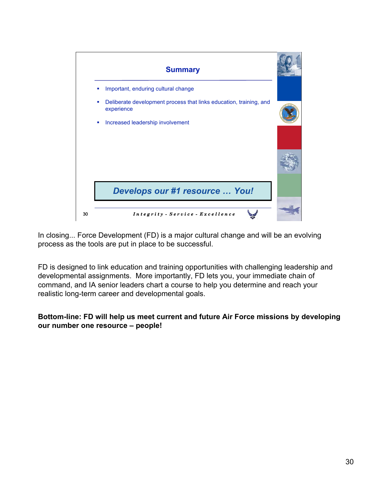

In closing... Force Development (FD) is a major cultural change and will be an evolving process as the tools are put in place to be successful.

FD is designed to link education and training opportunities with challenging leadership and developmental assignments. More importantly, FD lets you, your immediate chain of command, and IA senior leaders chart a course to help you determine and reach your realistic long-term career and developmental goals.

## **Bottom-line: FD will help us meet current and future Air Force missions by developing our number one resource – people!**